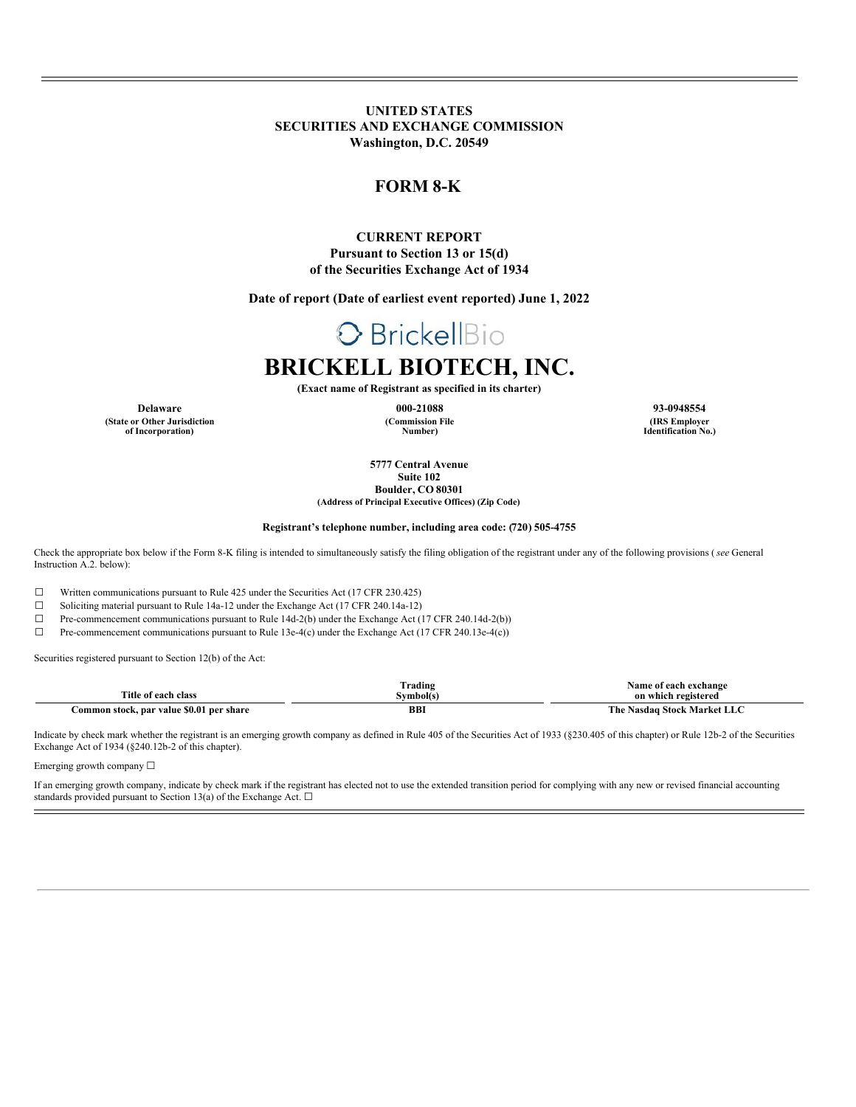**UNITED STATES SECURITIES AND EXCHANGE COMMISSION Washington, D.C. 20549**

# **FORM 8-K**

## **CURRENT REPORT Pursuant to Section 13 or 15(d) of the Securities Exchange Act of 1934**

**Date of report (Date of earliest event reported) June 1, 2022**

# O BrickellBio

# **BRICKELL BIOTECH, INC.**

**(Exact name of Registrant as specified in its charter)**

**(Commission File Number)**

**Delaware 000-21088 93-0948554 (IRS Employer Identification No.)**

> **5777 Central Avenue Suite 102**

**Boulder, CO 80301 (Address of Principal Executive Offices) (Zip Code)**

#### **Registrant's telephone number, including area code: (720) 505-4755**

Check the appropriate box below if the Form 8-K filing is intended to simultaneously satisfy the filing obligation of the registrant under any of the following provisions (*see* General Instruction A.2. below):

☐ Written communications pursuant to Rule 425 under the Securities Act (17 CFR 230.425)

☐ Soliciting material pursuant to Rule 14a-12 under the Exchange Act (17 CFR 240.14a-12)

☐ Pre-commencement communications pursuant to Rule 14d-2(b) under the Exchange Act (17 CFR 240.14d-2(b))

☐ Pre-commencement communications pursuant to Rule 13e-4(c) under the Exchange Act (17 CFR 240.13e-4(c))

Securities registered pursuant to Section 12(b) of the Act:

**(State or Other Jurisdiction of Incorporation)**

|                                               | rading)    | f each exchange<br><b>same</b><br>-01 |
|-----------------------------------------------|------------|---------------------------------------|
| <b>Title of</b><br>each<br>class              | Symbol(s)  | on which registered                   |
| Common stock. par value \$0.01<br>l per share | <b>BB1</b> | Market<br>. Stock '<br>l'he<br>Nasdag |

Indicate by check mark whether the registrant is an emerging growth company as defined in Rule 405 of the Securities Act of 1933 (§230.405 of this chapter) or Rule 12b-2 of the Securities Exchange Act of 1934 (§240.12b-2 of this chapter).

Emerging growth company ☐

If an emerging growth company, indicate by check mark if the registrant has elected not to use the extended transition period for complying with any new or revised financial accounting standards provided pursuant to Section 13(a) of the Exchange Act.  $\square$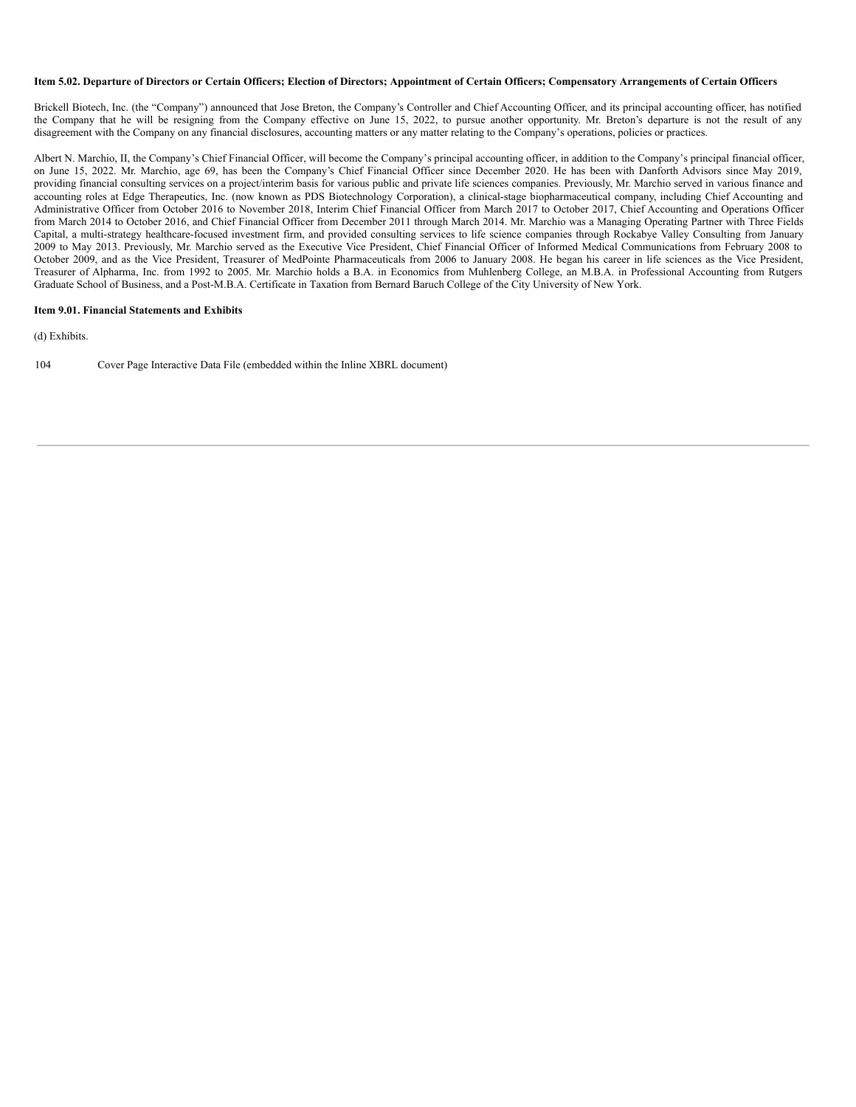#### Item 5.02. Departure of Directors or Certain Officers; Election of Directors; Appointment of Certain Officers; Compensatory Arrangements of Certain Officers

Brickell Biotech, Inc. (the "Company") announced that Jose Breton, the Company's Controller and Chief Accounting Officer, and its principal accounting officer, has notified the Company that he will be resigning from the Company effective on June 15, 2022, to pursue another opportunity. Mr. Breton's departure is not the result of any disagreement with the Company on any financial disclosures, accounting matters or any matter relating to the Company's operations, policies or practices.

Albert N. Marchio, II, the Company's Chief Financial Officer, will become the Company's principal accounting officer, in addition to the Company's principal financial officer, on June 15, 2022. Mr. Marchio, age 69, has been the Company's Chief Financial Officer since December 2020. He has been with Danforth Advisors since May 2019, providing financial consulting services on a project/interim basis for various public and private life sciences companies. Previously, Mr. Marchio served in various finance and accounting roles at Edge Therapeutics, Inc. (now known as PDS Biotechnology Corporation), a clinical-stage biopharmaceutical company, including Chief Accounting and Administrative Officer from October 2016 to November 2018, Interim Chief Financial Officer from March 2017 to October 2017, Chief Accounting and Operations Officer from March 2014 to October 2016, and Chief Financial Officer from December 2011 through March 2014. Mr. Marchio was a Managing Operating Partner with Three Fields Capital, a multi-strategy healthcare-focused investment firm, and provided consulting services to life science companies through Rockabye Valley Consulting from January 2009 to May 2013. Previously, Mr. Marchio served as the Executive Vice President, Chief Financial Officer of Informed Medical Communications from February 2008 to October 2009, and as the Vice President, Treasurer of MedPointe Pharmaceuticals from 2006 to January 2008. He began his career in life sciences as the Vice President, Treasurer of Alpharma, Inc. from 1992 to 2005. Mr. Marchio holds a B.A. in Economics from Muhlenberg College, an M.B.A. in Professional Accounting from Rutgers Graduate School of Business, and a Post-M.B.A. Certificate in Taxation from Bernard Baruch College of the City University of New York.

#### **Item 9.01. Financial Statements and Exhibits**

(d) Exhibits.

104 Cover Page Interactive Data File (embedded within the Inline XBRL document)